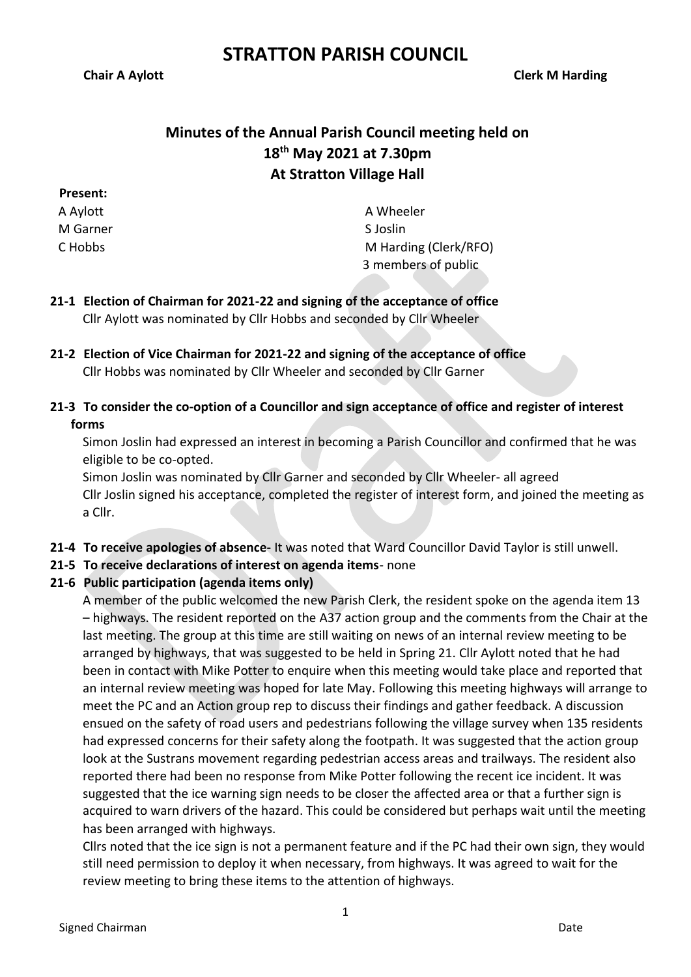**Chair A Aylott Clerk M Harding**

## **Minutes of the Annual Parish Council meeting held on 18th May 2021 at 7.30pm At Stratton Village Hall**

**Present:**

A Aylott M Garner C Hobbs

A Wheeler S Joslin M Harding (Clerk/RFO) 3 members of public

- **21-1 Election of Chairman for 2021-22 and signing of the acceptance of office** Cllr Aylott was nominated by Cllr Hobbs and seconded by Cllr Wheeler
- **21-2 Election of Vice Chairman for 2021-22 and signing of the acceptance of office** Cllr Hobbs was nominated by Cllr Wheeler and seconded by Cllr Garner
- **21-3 To consider the co-option of a Councillor and sign acceptance of office and register of interest forms**

Simon Joslin had expressed an interest in becoming a Parish Councillor and confirmed that he was eligible to be co-opted.

Simon Joslin was nominated by Cllr Garner and seconded by Cllr Wheeler- all agreed Cllr Joslin signed his acceptance, completed the register of interest form, and joined the meeting as a Cllr.

- **21-4 To receive apologies of absence-** It was noted that Ward Councillor David Taylor is still unwell.
- **21-5 To receive declarations of interest on agenda items** none

### **21-6 Public participation (agenda items only)**

A member of the public welcomed the new Parish Clerk, the resident spoke on the agenda item 13 – highways. The resident reported on the A37 action group and the comments from the Chair at the last meeting. The group at this time are still waiting on news of an internal review meeting to be arranged by highways, that was suggested to be held in Spring 21. Cllr Aylott noted that he had been in contact with Mike Potter to enquire when this meeting would take place and reported that an internal review meeting was hoped for late May. Following this meeting highways will arrange to meet the PC and an Action group rep to discuss their findings and gather feedback. A discussion ensued on the safety of road users and pedestrians following the village survey when 135 residents had expressed concerns for their safety along the footpath. It was suggested that the action group look at the Sustrans movement regarding pedestrian access areas and trailways. The resident also reported there had been no response from Mike Potter following the recent ice incident. It was suggested that the ice warning sign needs to be closer the affected area or that a further sign is acquired to warn drivers of the hazard. This could be considered but perhaps wait until the meeting has been arranged with highways.

Cllrs noted that the ice sign is not a permanent feature and if the PC had their own sign, they would still need permission to deploy it when necessary, from highways. It was agreed to wait for the review meeting to bring these items to the attention of highways.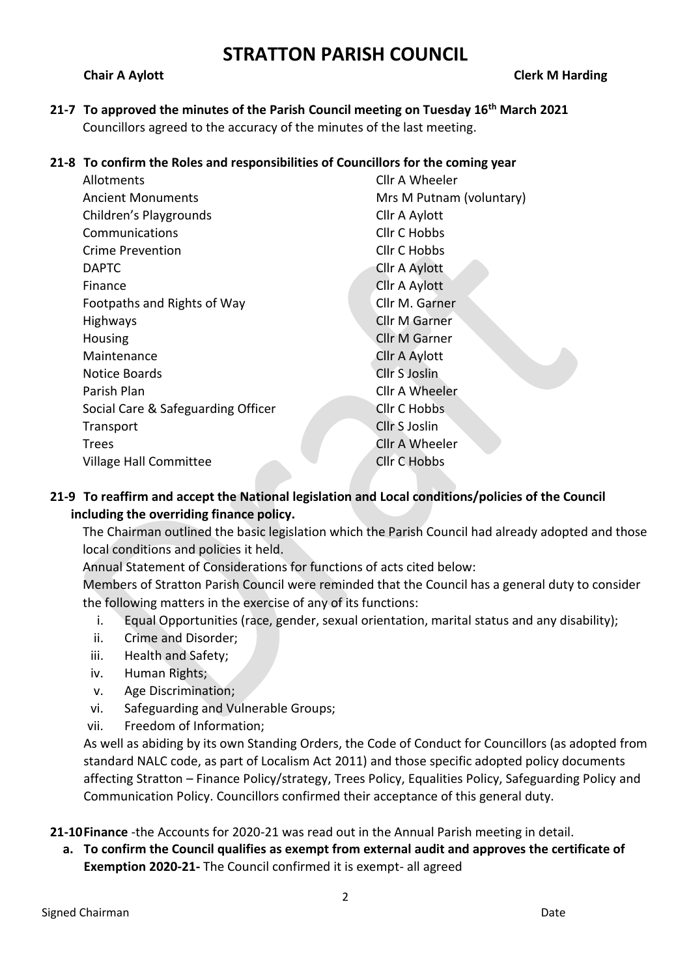**Chair A Aylott Clerk M Harding**

**21-7 To approved the minutes of the Parish Council meeting on Tuesday 16th March 2021** Councillors agreed to the accuracy of the minutes of the last meeting.

### **21-8 To confirm the Roles and responsibilities of Councillors for the coming year**

| Allotments                         | Cllr A Wheeler           |
|------------------------------------|--------------------------|
| <b>Ancient Monuments</b>           | Mrs M Putnam (voluntary) |
| Children's Playgrounds             | Cllr A Aylott            |
| Communications                     | <b>Cllr C Hobbs</b>      |
| Crime Prevention                   | <b>Cllr C Hobbs</b>      |
| <b>DAPTC</b>                       | Cllr A Aylott            |
| Finance                            | Cllr A Aylott            |
| Footpaths and Rights of Way        | Cllr M. Garner           |
| Highways                           | <b>Cllr M Garner</b>     |
| Housing                            | <b>Cllr M Garner</b>     |
| Maintenance                        | Cllr A Aylott            |
| Notice Boards                      | Cllr S Joslin            |
| Parish Plan                        | Cllr A Wheeler           |
| Social Care & Safeguarding Officer | <b>Cllr C Hobbs</b>      |
| Transport                          | Cllr S Joslin            |
| <b>Trees</b>                       | Cllr A Wheeler           |
| Village Hall Committee             | <b>Cllr C Hobbs</b>      |
|                                    |                          |

### **21-9 To reaffirm and accept the National legislation and Local conditions/policies of the Council including the overriding finance policy.**

The Chairman outlined the basic legislation which the Parish Council had already adopted and those local conditions and policies it held.

Annual Statement of Considerations for functions of acts cited below:

Members of Stratton Parish Council were reminded that the Council has a general duty to consider the following matters in the exercise of any of its functions:

- i. Equal Opportunities (race, gender, sexual orientation, marital status and any disability);
- ii. Crime and Disorder;
- iii. Health and Safety;
- iv. Human Rights;
- v. Age Discrimination;
- vi. Safeguarding and Vulnerable Groups;
- vii. Freedom of Information;

As well as abiding by its own Standing Orders, the Code of Conduct for Councillors (as adopted from standard NALC code, as part of Localism Act 2011) and those specific adopted policy documents affecting Stratton – Finance Policy/strategy, Trees Policy, Equalities Policy, Safeguarding Policy and Communication Policy. Councillors confirmed their acceptance of this general duty.

**21-10Finance** -the Accounts for 2020-21 was read out in the Annual Parish meeting in detail.

**a. To confirm the Council qualifies as exempt from external audit and approves the certificate of Exemption 2020-21-** The Council confirmed it is exempt- all agreed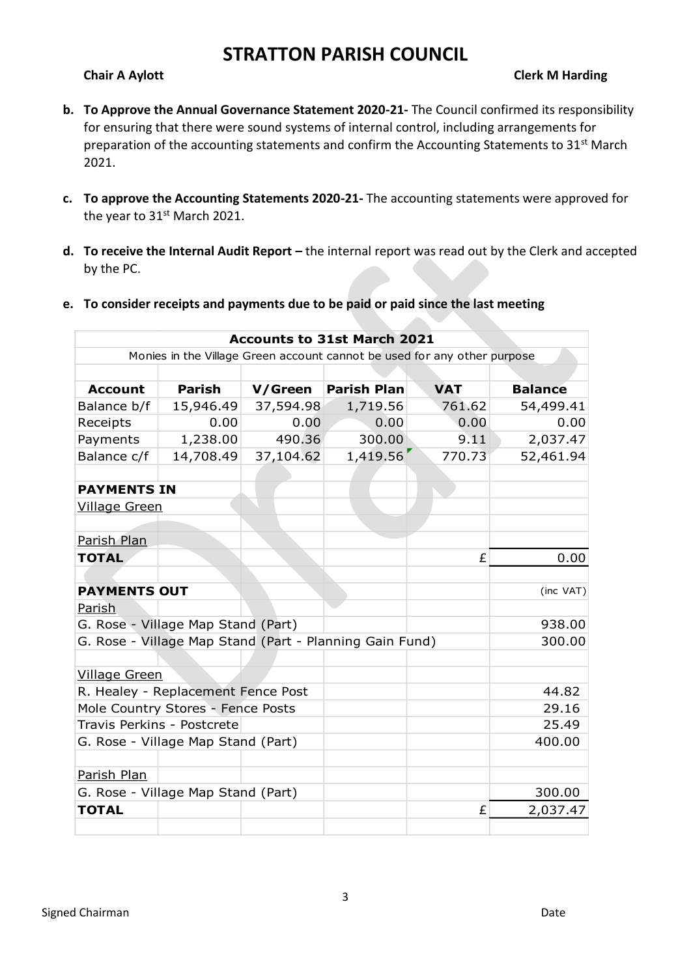### **Chair A Aylott Clerk M Harding**

- **b. To Approve the Annual Governance Statement 2020-21-** The Council confirmed its responsibility for ensuring that there were sound systems of internal control, including arrangements for preparation of the accounting statements and confirm the Accounting Statements to 31<sup>st</sup> March 2021.
- **c. To approve the Accounting Statements 2020-21-** The accounting statements were approved for the year to 31<sup>st</sup> March 2021.
- **d. To receive the Internal Audit Report** the internal report was read out by the Clerk and accepted by the PC.
- **e. To consider receipts and payments due to be paid or paid since the last meeting**

| <b>Accounts to 31st March 2021</b>                                       |                            |           |                    |            |                |  |  |  |  |
|--------------------------------------------------------------------------|----------------------------|-----------|--------------------|------------|----------------|--|--|--|--|
| Monies in the Village Green account cannot be used for any other purpose |                            |           |                    |            |                |  |  |  |  |
|                                                                          |                            |           |                    |            |                |  |  |  |  |
| <b>Account</b>                                                           | <b>Parish</b>              | V/Green   | <b>Parish Plan</b> | <b>VAT</b> | <b>Balance</b> |  |  |  |  |
| Balance b/f                                                              | 15,946.49                  | 37,594.98 | 1,719.56           | 761.62     | 54,499.41      |  |  |  |  |
| Receipts                                                                 | 0.00                       | 0.00      | 0.00               | 0.00       | 0.00           |  |  |  |  |
| Payments                                                                 | 1,238.00                   | 490.36    | 300.00             | 9.11       | 2,037.47       |  |  |  |  |
| Balance c/f                                                              | 14,708.49                  | 37,104.62 | 1,419.56           | 770.73     | 52,461.94      |  |  |  |  |
|                                                                          |                            |           |                    |            |                |  |  |  |  |
| <b>PAYMENTS IN</b>                                                       |                            |           |                    |            |                |  |  |  |  |
| <b>Village Green</b>                                                     |                            |           |                    |            |                |  |  |  |  |
|                                                                          |                            |           |                    |            |                |  |  |  |  |
| Parish Plan                                                              |                            |           |                    |            |                |  |  |  |  |
| <b>TOTAL</b>                                                             |                            |           |                    | £          | 0.00           |  |  |  |  |
|                                                                          |                            |           |                    |            |                |  |  |  |  |
| <b>PAYMENTS OUT</b>                                                      |                            |           |                    |            | (inc VAT)      |  |  |  |  |
| <u>Parish</u>                                                            |                            |           |                    |            |                |  |  |  |  |
| G. Rose - Village Map Stand (Part)                                       |                            |           |                    |            | 938.00         |  |  |  |  |
| G. Rose - Village Map Stand (Part - Planning Gain Fund)                  |                            |           |                    |            | 300.00         |  |  |  |  |
|                                                                          |                            |           |                    |            |                |  |  |  |  |
| <b>Village Green</b>                                                     |                            |           |                    |            |                |  |  |  |  |
| R. Healey - Replacement Fence Post                                       | 44.82                      |           |                    |            |                |  |  |  |  |
| Mole Country Stores - Fence Posts                                        |                            |           |                    |            | 29.16          |  |  |  |  |
|                                                                          | Travis Perkins - Postcrete |           |                    |            | 25.49          |  |  |  |  |
| G. Rose - Village Map Stand (Part)                                       |                            |           |                    |            | 400.00         |  |  |  |  |
|                                                                          |                            |           |                    |            |                |  |  |  |  |
| Parish Plan                                                              |                            |           |                    |            |                |  |  |  |  |
| G. Rose - Village Map Stand (Part)                                       |                            |           |                    | 300.00     |                |  |  |  |  |
| <b>TOTAL</b>                                                             |                            |           |                    | £          | 2,037.47       |  |  |  |  |
|                                                                          |                            |           |                    |            |                |  |  |  |  |

3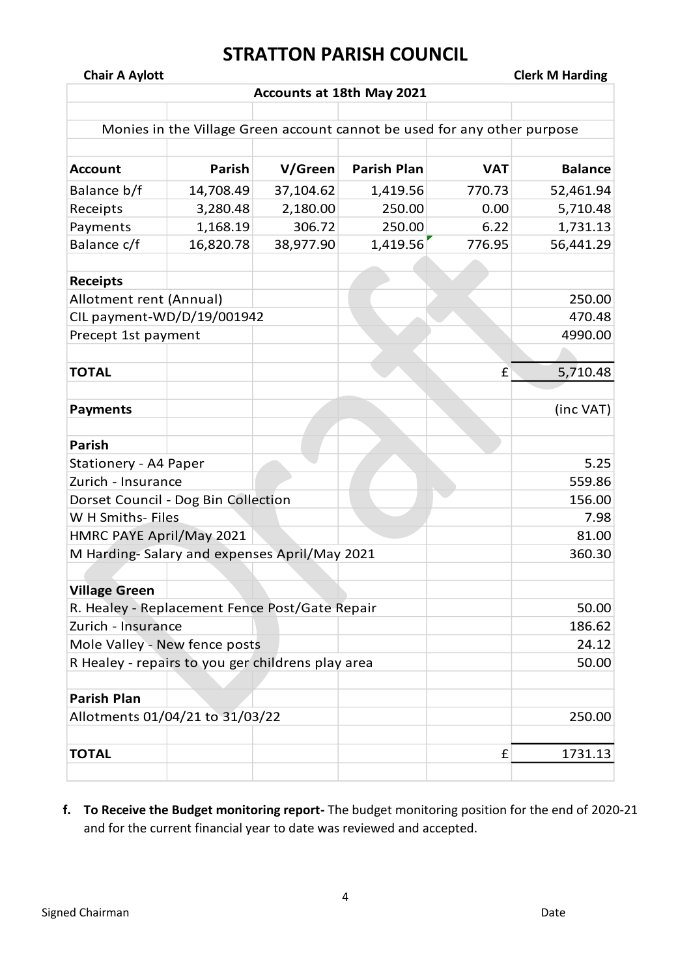**Chair A Aylott Clerk M Harding**

| Accounts at 18th May 2021                         |               |           |                                                                          |            |                |  |  |  |
|---------------------------------------------------|---------------|-----------|--------------------------------------------------------------------------|------------|----------------|--|--|--|
|                                                   |               |           |                                                                          |            |                |  |  |  |
|                                                   |               |           | Monies in the Village Green account cannot be used for any other purpose |            |                |  |  |  |
|                                                   |               |           |                                                                          |            |                |  |  |  |
| <b>Account</b>                                    | <b>Parish</b> | V/Green   | <b>Parish Plan</b>                                                       | <b>VAT</b> | <b>Balance</b> |  |  |  |
| Balance b/f                                       | 14,708.49     | 37,104.62 | 1,419.56                                                                 | 770.73     | 52,461.94      |  |  |  |
| Receipts                                          | 3,280.48      | 2,180.00  | 250.00                                                                   | 0.00       | 5,710.48       |  |  |  |
| Payments                                          | 1,168.19      | 306.72    | 250.00                                                                   | 6.22       | 1,731.13       |  |  |  |
| Balance c/f                                       | 16,820.78     | 38,977.90 | 1,419.56                                                                 | 776.95     | 56,441.29      |  |  |  |
|                                                   |               |           |                                                                          |            |                |  |  |  |
| <b>Receipts</b>                                   |               |           |                                                                          |            |                |  |  |  |
| Allotment rent (Annual)                           |               |           |                                                                          |            | 250.00         |  |  |  |
| CIL payment-WD/D/19/001942                        |               |           |                                                                          |            | 470.48         |  |  |  |
| Precept 1st payment                               |               |           |                                                                          |            | 4990.00        |  |  |  |
|                                                   |               |           |                                                                          |            |                |  |  |  |
| <b>TOTAL</b>                                      |               |           |                                                                          | £          | 5,710.48       |  |  |  |
|                                                   |               |           |                                                                          |            |                |  |  |  |
| <b>Payments</b>                                   |               |           |                                                                          |            | (inc VAT)      |  |  |  |
|                                                   |               |           |                                                                          |            |                |  |  |  |
| <b>Parish</b>                                     |               |           |                                                                          |            |                |  |  |  |
| Stationery - A4 Paper                             | 5.25          |           |                                                                          |            |                |  |  |  |
| Zurich - Insurance                                |               |           |                                                                          |            | 559.86         |  |  |  |
| Dorset Council - Dog Bin Collection               | 156.00        |           |                                                                          |            |                |  |  |  |
| W H Smiths- Files                                 |               |           |                                                                          |            | 7.98           |  |  |  |
| HMRC PAYE April/May 2021                          |               |           |                                                                          |            | 81.00          |  |  |  |
| M Harding-Salary and expenses April/May 2021      |               |           |                                                                          |            | 360.30         |  |  |  |
|                                                   |               |           |                                                                          |            |                |  |  |  |
| <b>Village Green</b>                              |               |           |                                                                          |            |                |  |  |  |
| R. Healey - Replacement Fence Post/Gate Repair    |               |           |                                                                          |            | 50.00          |  |  |  |
| Zurich - Insurance                                |               |           |                                                                          |            | 186.62         |  |  |  |
| Mole Valley - New fence posts                     | 24.12         |           |                                                                          |            |                |  |  |  |
| R Healey - repairs to you ger childrens play area | 50.00         |           |                                                                          |            |                |  |  |  |
|                                                   |               |           |                                                                          |            |                |  |  |  |
| <b>Parish Plan</b>                                |               |           |                                                                          |            |                |  |  |  |
| Allotments 01/04/21 to 31/03/22                   |               |           |                                                                          |            | 250.00         |  |  |  |
|                                                   |               |           |                                                                          |            |                |  |  |  |
| <b>TOTAL</b>                                      |               |           |                                                                          | £          | 1731.13        |  |  |  |
|                                                   |               |           |                                                                          |            |                |  |  |  |

**f. To Receive the Budget monitoring report-** The budget monitoring position for the end of 2020-21 and for the current financial year to date was reviewed and accepted.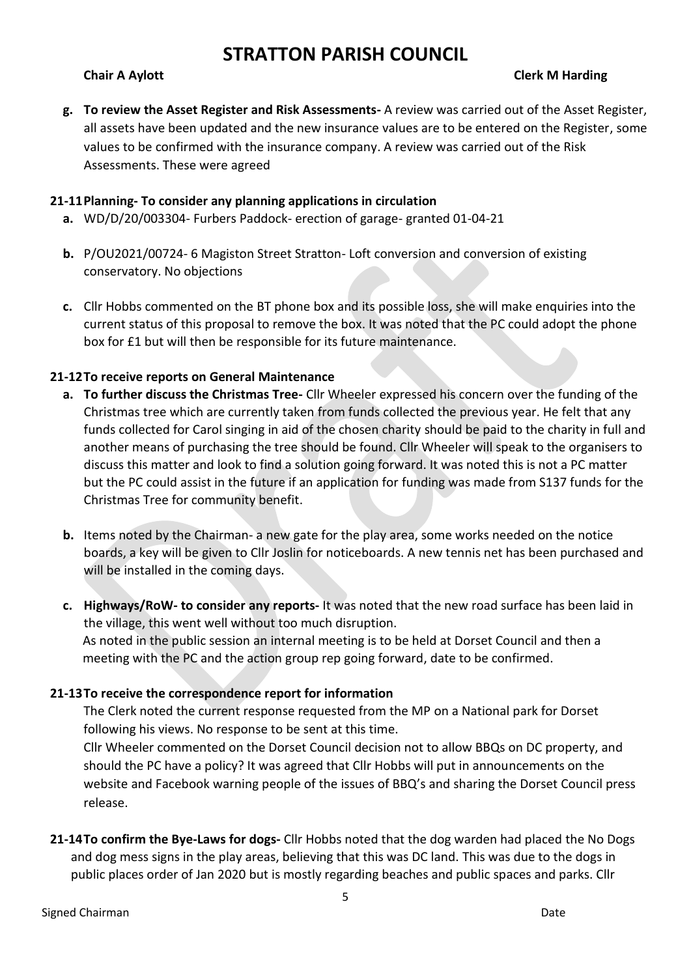### **Chair A Aylott Clerk M Harding**

**g. To review the Asset Register and Risk Assessments-** A review was carried out of the Asset Register, all assets have been updated and the new insurance values are to be entered on the Register, some values to be confirmed with the insurance company. A review was carried out of the Risk Assessments. These were agreed

### **21-11Planning- To consider any planning applications in circulation**

- **a.** WD/D/20/003304- Furbers Paddock- erection of garage- granted 01-04-21
- **b.** P/OU2021/00724- 6 Magiston Street Stratton- Loft conversion and conversion of existing conservatory. No objections
- **c.** Cllr Hobbs commented on the BT phone box and its possible loss, she will make enquiries into the current status of this proposal to remove the box. It was noted that the PC could adopt the phone box for £1 but will then be responsible for its future maintenance.

### **21-12To receive reports on General Maintenance**

- **a. To further discuss the Christmas Tree-** Cllr Wheeler expressed his concern over the funding of the Christmas tree which are currently taken from funds collected the previous year. He felt that any funds collected for Carol singing in aid of the chosen charity should be paid to the charity in full and another means of purchasing the tree should be found. Cllr Wheeler will speak to the organisers to discuss this matter and look to find a solution going forward. It was noted this is not a PC matter but the PC could assist in the future if an application for funding was made from S137 funds for the Christmas Tree for community benefit.
- **b.** Items noted by the Chairman- a new gate for the play area, some works needed on the notice boards, a key will be given to Cllr Joslin for noticeboards. A new tennis net has been purchased and will be installed in the coming days.
- **c. Highways/RoW- to consider any reports-** It was noted that the new road surface has been laid in the village, this went well without too much disruption. As noted in the public session an internal meeting is to be held at Dorset Council and then a meeting with the PC and the action group rep going forward, date to be confirmed.

### **21-13To receive the correspondence report for information**

The Clerk noted the current response requested from the MP on a National park for Dorset following his views. No response to be sent at this time.

Cllr Wheeler commented on the Dorset Council decision not to allow BBQs on DC property, and should the PC have a policy? It was agreed that Cllr Hobbs will put in announcements on the website and Facebook warning people of the issues of BBQ's and sharing the Dorset Council press release.

**21-14To confirm the Bye-Laws for dogs-** Cllr Hobbs noted that the dog warden had placed the No Dogs and dog mess signs in the play areas, believing that this was DC land. This was due to the dogs in public places order of Jan 2020 but is mostly regarding beaches and public spaces and parks. Cllr